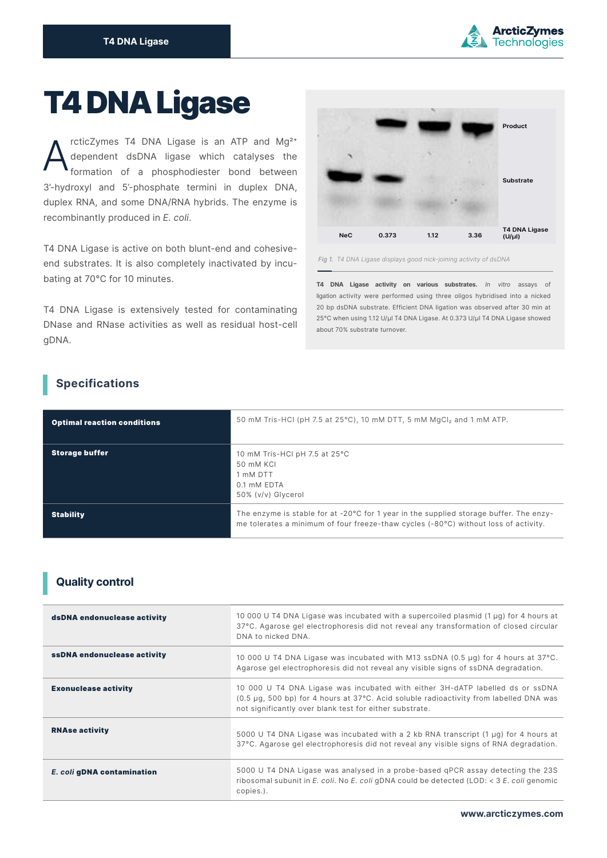

# T4 DNA Ligase

rcticZymes T4 DNA Ligase is an ATP and  $Mq^{2+}$ dependent dsDNA ligase which catalyses the formation of a phosphodiester bond between 3'-hydroxyl and 5'-phosphate termini in duplex DNA, duplex RNA, and some DNA/RNA hybrids. The enzyme is recombinantly produced in *E. coli*. A

T4 DNA Ligase is active on both blunt-end and cohesiveend substrates. It is also completely inactivated by incubating at 70°C for 10 minutes.

T4 DNA Ligase is extensively tested for contaminating DNase and RNase activities as well as residual host-cell gDNA.



*Fig 1. T4 DNA Ligase displays good nick-joining activity of dsDNA*

**T4 DNA Ligase activity on various substrates.** *In vitro* assays of ligation activity were performed using three oligos hybridised into a nicked 20 bp dsDNA substrate. Efficient DNA ligation was observed after 30 min at 25°C when using 1.12 U/μl T4 DNA Ligase. At 0.373 U/μl T4 DNA Ligase showed about 70% substrate turnover.

# **Specifications**

| <b>Optimal reaction conditions</b> | 50 mM Tris-HCI (pH 7.5 at 25°C), 10 mM DTT, 5 mM MgCl <sub>2</sub> and 1 mM ATP.                                                                                                        |
|------------------------------------|-----------------------------------------------------------------------------------------------------------------------------------------------------------------------------------------|
| <b>Storage buffer</b>              | 10 mM Tris-HCI pH 7.5 at 25°C<br>50 mM KCI<br>1 mM DTT<br>0.1 mM EDTA<br>50% (v/v) Glycerol                                                                                             |
| <b>Stability</b>                   | The enzyme is stable for at $-20^{\circ}$ C for 1 year in the supplied storage buffer. The enzy-<br>me tolerates a minimum of four freeze-thaw cycles (-80°C) without loss of activity. |

## **Quality control**

| dsDNA endonuclease activity | 10 000 U T4 DNA Ligase was incubated with a supercoiled plasmid (1 µg) for 4 hours at<br>37°C. Agarose gel electrophoresis did not reveal any transformation of closed circular<br>DNA to nicked DNA.                              |
|-----------------------------|------------------------------------------------------------------------------------------------------------------------------------------------------------------------------------------------------------------------------------|
| ssDNA endonuclease activity | 10 000 U T4 DNA Ligase was incubated with M13 ssDNA (0.5 µg) for 4 hours at 37°C.<br>Agarose gel electrophoresis did not reveal any visible signs of ssDNA degradation.                                                            |
| <b>Exonuclease activity</b> | 10 000 U T4 DNA Ligase was incubated with either 3H-dATP labelled ds or ssDNA<br>(0.5 µg, 500 bp) for 4 hours at 37°C. Acid soluble radioactivity from labelled DNA was<br>not significantly over blank test for either substrate. |
| <b>RNAse activity</b>       | 5000 U T4 DNA Ligase was incubated with a 2 kb RNA transcript (1 µg) for 4 hours at<br>37°C. Agarose gel electrophoresis did not reveal any visible signs of RNA degradation.                                                      |
| E. coli gDNA contamination  | 5000 U T4 DNA Ligase was analysed in a probe-based qPCR assay detecting the 23S<br>ribosomal subunit in E. coli. No E. coli qDNA could be detected (LOD: $<$ 3 E. coli genomic<br>copies.).                                        |